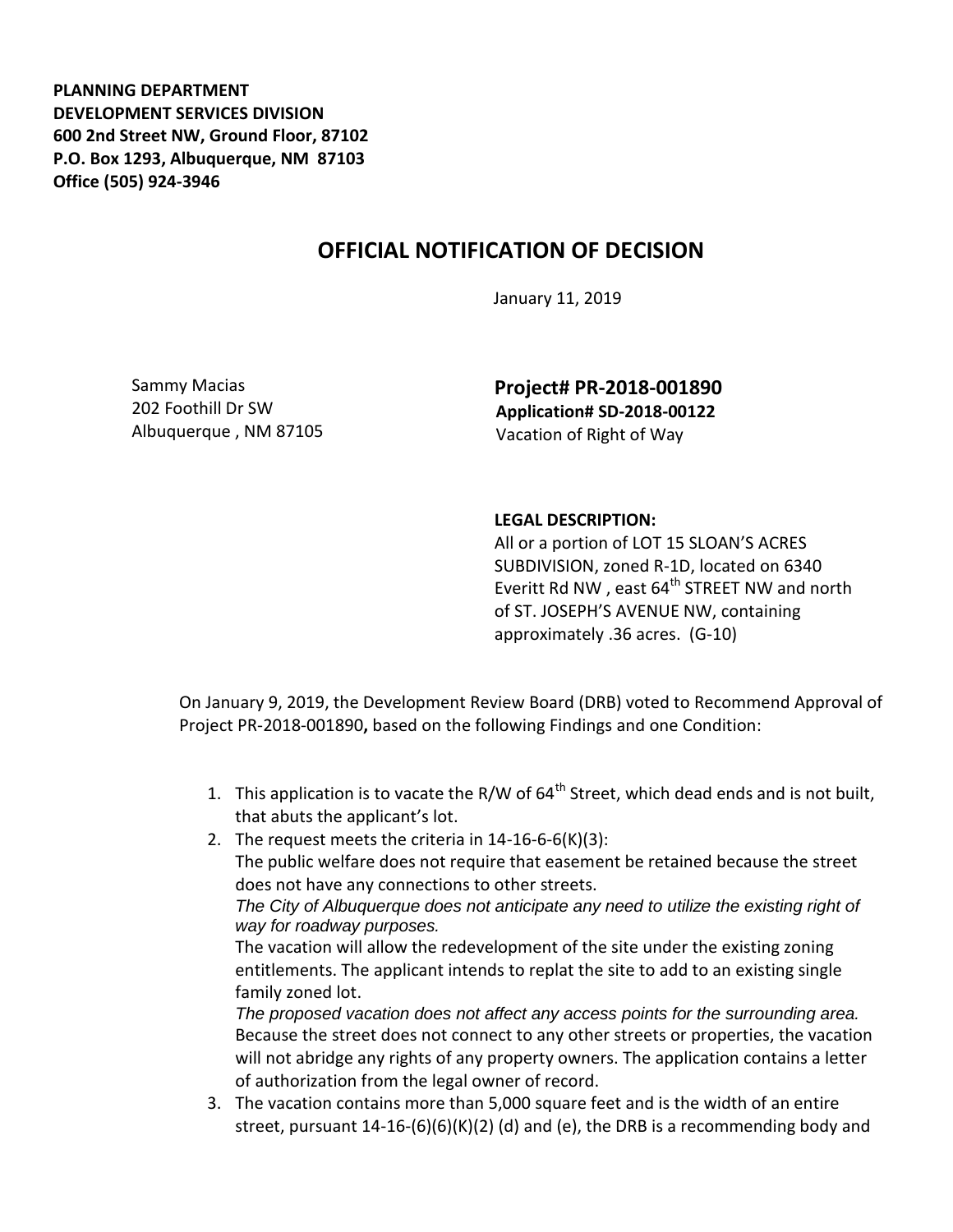**PLANNING DEPARTMENT DEVELOPMENT SERVICES DIVISION 600 2nd Street NW, Ground Floor, 87102 P.O. Box 1293, Albuquerque, NM 87103 Office (505) 924-3946** 

## **OFFICIAL NOTIFICATION OF DECISION**

January 11, 2019

Sammy Macias 202 Foothill Dr SW Albuquerque , NM 87105 **Project# PR-2018-001890 Application# SD-2018-00122** Vacation of Right of Way

## **LEGAL DESCRIPTION:**

All or a portion of LOT 15 SLOAN'S ACRES SUBDIVISION, zoned R-1D, located on 6340 Everitt Rd NW, east 64<sup>th</sup> STREET NW and north of ST. JOSEPH'S AVENUE NW, containing approximately .36 acres. (G-10)

On January 9, 2019, the Development Review Board (DRB) voted to Recommend Approval of Project PR-2018-001890**,** based on the following Findings and one Condition:

- 1. This application is to vacate the R/W of  $64<sup>th</sup>$  Street, which dead ends and is not built, that abuts the applicant's lot.
- 2. The request meets the criteria in 14-16-6-6(K)(3): The public welfare does not require that easement be retained because the street does not have any connections to other streets. *The City of Albuquerque does not anticipate any need to utilize the existing right of way for roadway purposes.*

The vacation will allow the redevelopment of the site under the existing zoning entitlements. The applicant intends to replat the site to add to an existing single family zoned lot.

*The proposed vacation does not affect any access points for the surrounding area.* Because the street does not connect to any other streets or properties, the vacation will not abridge any rights of any property owners. The application contains a letter of authorization from the legal owner of record.

3. The vacation contains more than 5,000 square feet and is the width of an entire street, pursuant  $14-16-(6)(6)(K)(2)$  (d) and (e), the DRB is a recommending body and